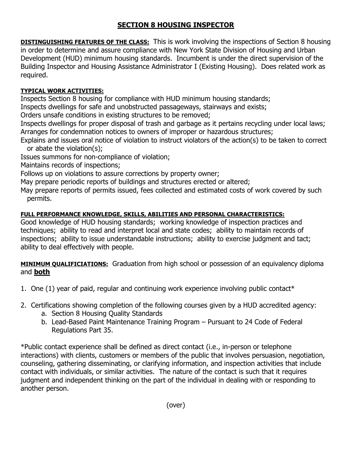## **SECTION 8 HOUSING INSPECTOR**

**DISTINGUISHING FEATURES OF THE CLASS:** This is work involving the inspections of Section 8 housing in order to determine and assure compliance with New York State Division of Housing and Urban Development (HUD) minimum housing standards. Incumbent is under the direct supervision of the Building Inspector and Housing Assistance Administrator I (Existing Housing). Does related work as required.

## **TYPICAL WORK ACTIVITIES:**

Inspects Section 8 housing for compliance with HUD minimum housing standards;

Inspects dwellings for safe and unobstructed passageways, stairways and exists;

Orders unsafe conditions in existing structures to be removed;

Inspects dwellings for proper disposal of trash and garbage as it pertains recycling under local laws; Arranges for condemnation notices to owners of improper or hazardous structures;

Explains and issues oral notice of violation to instruct violators of the action(s) to be taken to correct or abate the violation(s);

Issues summons for non-compliance of violation;

Maintains records of inspections;

Follows up on violations to assure corrections by property owner;

May prepare periodic reports of buildings and structures erected or altered;

May prepare reports of permits issued, fees collected and estimated costs of work covered by such permits.

## **FULL PERFORMANCE KNOWLEDGE, SKILLS, ABILITIES AND PERSONAL CHARACTERISTICS:**

Good knowledge of HUD housing standards; working knowledge of inspection practices and techniques; ability to read and interpret local and state codes; ability to maintain records of inspections; ability to issue understandable instructions; ability to exercise judgment and tact; ability to deal effectively with people.

**MINIMUM QUALIFICIATIONS:** Graduation from high school or possession of an equivalency diploma and **both**

- 1. One  $(1)$  year of paid, regular and continuing work experience involving public contact\*
- 2. Certifications showing completion of the following courses given by a HUD accredited agency:
	- a. Section 8 Housing Quality Standards
	- b. Lead-Based Paint Maintenance Training Program Pursuant to 24 Code of Federal Regulations Part 35.

\*Public contact experience shall be defined as direct contact (i.e., in-person or telephone interactions) with clients, customers or members of the public that involves persuasion, negotiation, counseling, gathering disseminating, or clarifying information, and inspection activities that include contact with individuals, or similar activities. The nature of the contact is such that it requires judgment and independent thinking on the part of the individual in dealing with or responding to another person.